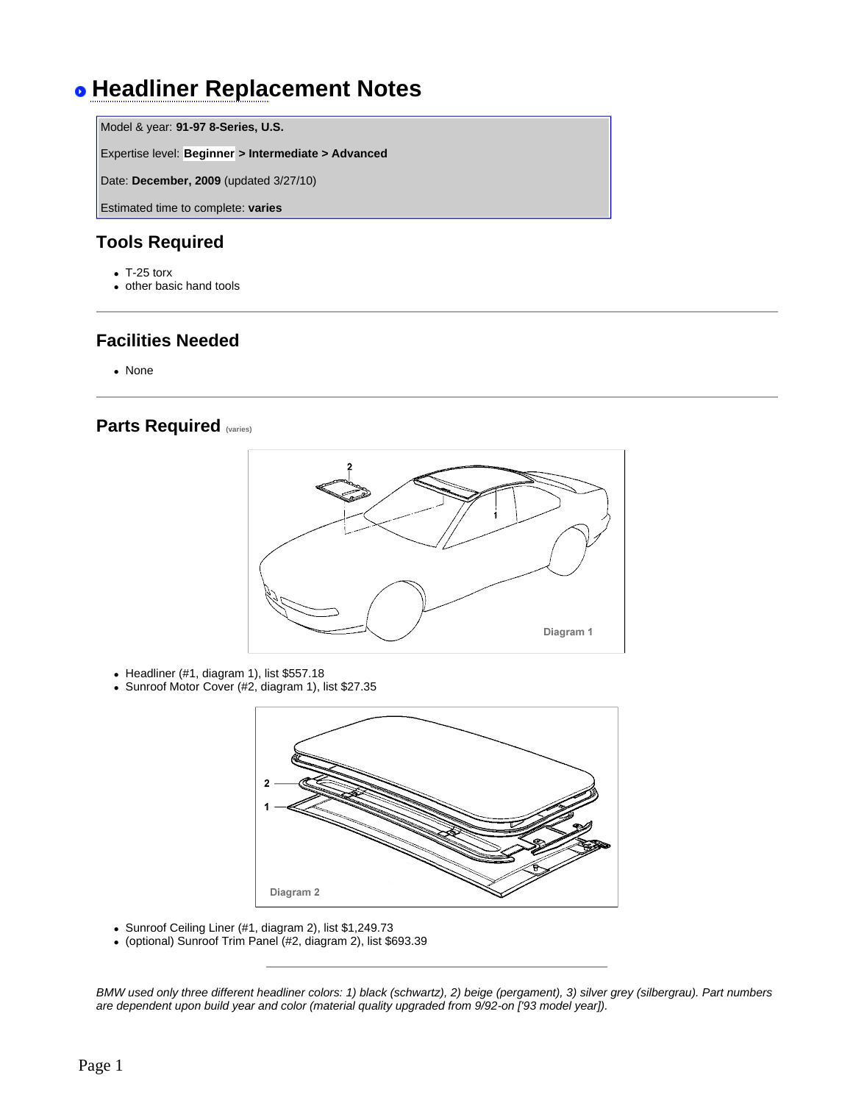# **Headliner Replacement Notes**

Model & year: **91-97 8-Series, U.S.**

Expertise level: **Beginner > Intermediate > Advanced**

Date: **December, 2009** (updated 3/27/10)

Estimated time to complete: **varies**

### **Tools Required**

- $\bullet$  T-25 torx
- other basic hand tools

### **Facilities Needed**

• None

#### **Parts Required (varies)**



- Headliner (#1, diagram 1), list  $$557.18$
- Sunroof Motor Cover (#2, diagram 1), list \$27.35



- Sunroof Ceiling Liner (#1, diagram 2), list \$1,249.73
- <sup>l</sup> (optional) Sunroof Trim Panel (#2, diagram 2), list \$693.39

*BMW used only three different headliner colors: 1) black (schwartz), 2) beige (pergament), 3) silver grey (silbergrau). Part numbers are dependent upon build year and color (material quality upgraded from 9/92-on ['93 model year]).*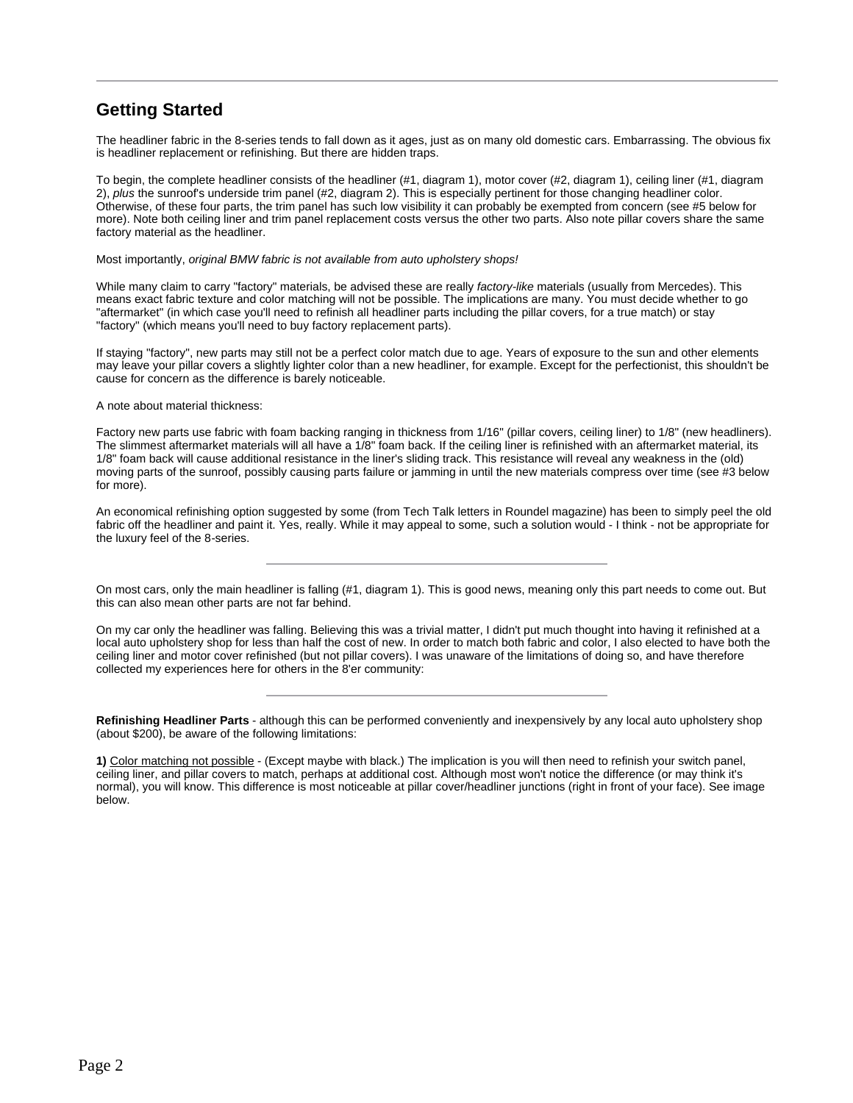## **Getting Started**

The headliner fabric in the 8-series tends to fall down as it ages, just as on many old domestic cars. Embarrassing. The obvious fix is headliner replacement or refinishing. But there are hidden traps.

To begin, the complete headliner consists of the headliner (#1, diagram 1), motor cover (#2, diagram 1), ceiling liner (#1, diagram 2), *plus* the sunroof's underside trim panel (#2, diagram 2). This is especially pertinent for those changing headliner color. Otherwise, of these four parts, the trim panel has such low visibility it can probably be exempted from concern (see #5 below for more). Note both ceiling liner and trim panel replacement costs versus the other two parts. Also note pillar covers share the same factory material as the headliner.

#### Most importantly, *original BMW fabric is not available from auto upholstery shops!*

While many claim to carry "factory" materials, be advised these are really *factory-like* materials (usually from Mercedes). This means exact fabric texture and color matching will not be possible. The implications are many. You must decide whether to go "aftermarket" (in which case you'll need to refinish all headliner parts including the pillar covers, for a true match) or stay "factory" (which means you'll need to buy factory replacement parts).

If staying "factory", new parts may still not be a perfect color match due to age. Years of exposure to the sun and other elements may leave your pillar covers a slightly lighter color than a new headliner, for example. Except for the perfectionist, this shouldn't be cause for concern as the difference is barely noticeable.

A note about material thickness:

Factory new parts use fabric with foam backing ranging in thickness from 1/16" (pillar covers, ceiling liner) to 1/8" (new headliners). The slimmest aftermarket materials will all have a 1/8" foam back. If the ceiling liner is refinished with an aftermarket material, its 1/8" foam back will cause additional resistance in the liner's sliding track. This resistance will reveal any weakness in the (old) moving parts of the sunroof, possibly causing parts failure or jamming in until the new materials compress over time (see #3 below for more).

An economical refinishing option suggested by some (from Tech Talk letters in Roundel magazine) has been to simply peel the old fabric off the headliner and paint it. Yes, really. While it may appeal to some, such a solution would - I think - not be appropriate for the luxury feel of the 8-series.

On most cars, only the main headliner is falling (#1, diagram 1). This is good news, meaning only this part needs to come out. But this can also mean other parts are not far behind.

On my car only the headliner was falling. Believing this was a trivial matter, I didn't put much thought into having it refinished at a local auto upholstery shop for less than half the cost of new. In order to match both fabric and color, I also elected to have both the ceiling liner and motor cover refinished (but not pillar covers). I was unaware of the limitations of doing so, and have therefore collected my experiences here for others in the 8'er community:

**Refinishing Headliner Parts** - although this can be performed conveniently and inexpensively by any local auto upholstery shop (about \$200), be aware of the following limitations:

**1)** Color matching not possible - (Except maybe with black.) The implication is you will then need to refinish your switch panel, ceiling liner, and pillar covers to match, perhaps at additional cost. Although most won't notice the difference (or may think it's normal), you will know. This difference is most noticeable at pillar cover/headliner junctions (right in front of your face). See image below.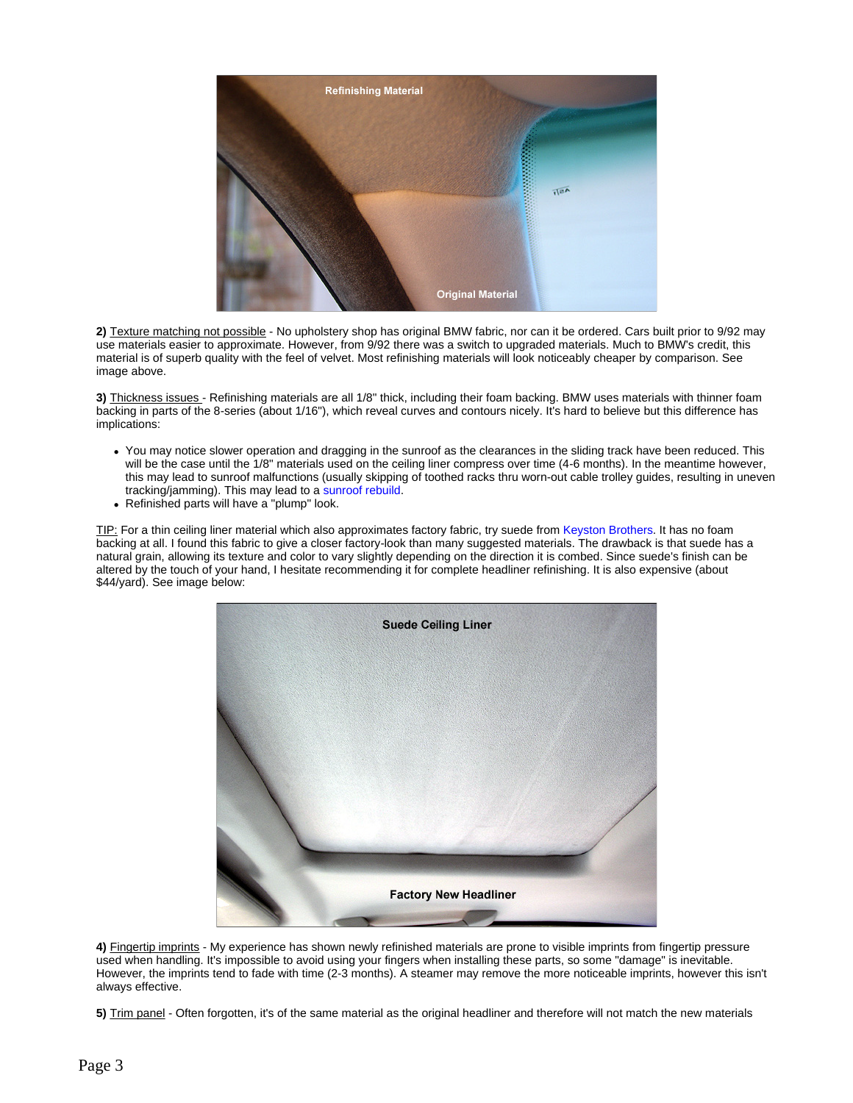

**2)** Texture matching not possible - No upholstery shop has original BMW fabric, nor can it be ordered. Cars built prior to 9/92 may use materials easier to approximate. However, from 9/92 there was a switch to upgraded materials. Much to BMW's credit, this material is of superb quality with the feel of velvet. Most refinishing materials will look noticeably cheaper by comparison. See image above.

**3)** Thickness issues - Refinishing materials are all 1/8" thick, including their foam backing. BMW uses materials with thinner foam backing in parts of the 8-series (about 1/16"), which reveal curves and contours nicely. It's hard to believe but this difference has implications:

- You may notice slower operation and dragging in the sunroof as the clearances in the sliding track have been reduced. This will be the case until the 1/8" materials used on the ceiling liner compress over time (4-6 months). In the meantime however, this may lead to sunroof malfunctions (usually skipping of toothed racks thru worn-out cable trolley guides, resulting in uneven tracking/jamming). This may lead to a sunroof rebuild.
- Refinished parts will have a "plump" look.

TIP: For a thin ceiling liner material which also approximates factory fabric, try suede from Keyston Brothers. It has no foam backing at all. I found this fabric to give a closer factory-look than many suggested materials. The drawback is that suede has a natural grain, allowing its texture and color to vary slightly depending on the direction it is combed. Since suede's finish can be altered by the touch of your hand, I hesitate recommending it for complete headliner refinishing. It is also expensive (about \$44/yard). See image below:



**4)** Fingertip imprints - My experience has shown newly refinished materials are prone to visible imprints from fingertip pressure used when handling. It's impossible to avoid using your fingers when installing these parts, so some "damage" is inevitable. However, the imprints tend to fade with time (2-3 months). A steamer may remove the more noticeable imprints, however this isn't always effective.

**5)** Trim panel - Often forgotten, it's of the same material as the original headliner and therefore will not match the new materials